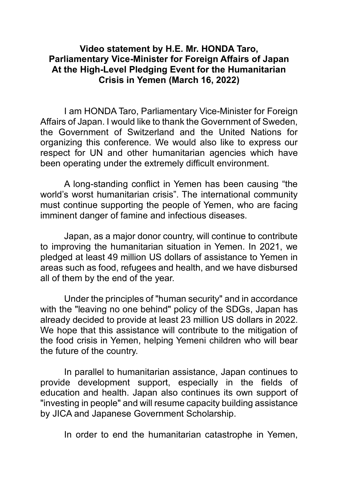## **Video statement by H.E. Mr. HONDA Taro, Parliamentary Vice-Minister for Foreign Affairs of Japan At the High-Level Pledging Event for the Humanitarian Crisis in Yemen (March 16, 2022)**

I am HONDA Taro, Parliamentary Vice-Minister for Foreign Affairs of Japan. I would like to thank the Government of Sweden, the Government of Switzerland and the United Nations for organizing this conference. We would also like to express our respect for UN and other humanitarian agencies which have been operating under the extremely difficult environment.

A long-standing conflict in Yemen has been causing "the world's worst humanitarian crisis". The international community must continue supporting the people of Yemen, who are facing imminent danger of famine and infectious diseases.

Japan, as a major donor country, will continue to contribute to improving the humanitarian situation in Yemen. In 2021, we pledged at least 49 million US dollars of assistance to Yemen in areas such as food, refugees and health, and we have disbursed all of them by the end of the year.

Under the principles of "human security" and in accordance with the "leaving no one behind" policy of the SDGs, Japan has already decided to provide at least 23 million US dollars in 2022. We hope that this assistance will contribute to the mitigation of the food crisis in Yemen, helping Yemeni children who will bear the future of the country.

In parallel to humanitarian assistance, Japan continues to provide development support, especially in the fields of education and health. Japan also continues its own support of "investing in people" and will resume capacity building assistance by JICA and Japanese Government Scholarship.

In order to end the humanitarian catastrophe in Yemen,